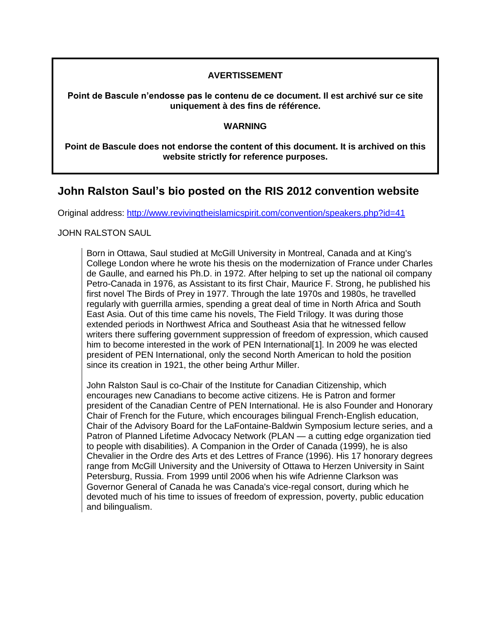## **AVERTISSEMENT**

**Point de Bascule n'endosse pas le contenu de ce document. Il est archivé sur ce site uniquement à des fins de référence.**

## **WARNING**

**Point de Bascule does not endorse the content of this document. It is archived on this website strictly for reference purposes.**

## **John Ralston Saul's bio posted on the RIS 2012 convention website**

Original address:<http://www.revivingtheislamicspirit.com/convention/speakers.php?id=41>

## JOHN RALSTON SAUL

Born in Ottawa, Saul studied at McGill University in Montreal, Canada and at King's College London where he wrote his thesis on the modernization of France under Charles de Gaulle, and earned his Ph.D. in 1972. After helping to set up the national oil company Petro-Canada in 1976, as Assistant to its first Chair, Maurice F. Strong, he published his first novel The Birds of Prey in 1977. Through the late 1970s and 1980s, he travelled regularly with guerrilla armies, spending a great deal of time in North Africa and South East Asia. Out of this time came his novels, The Field Trilogy. It was during those extended periods in Northwest Africa and Southeast Asia that he witnessed fellow writers there suffering government suppression of freedom of expression, which caused him to become interested in the work of PEN International[1]. In 2009 he was elected president of PEN International, only the second North American to hold the position since its creation in 1921, the other being Arthur Miller.

John Ralston Saul is co-Chair of the Institute for Canadian Citizenship, which encourages new Canadians to become active citizens. He is Patron and former president of the Canadian Centre of PEN International. He is also Founder and Honorary Chair of French for the Future, which encourages bilingual French-English education, Chair of the Advisory Board for the LaFontaine-Baldwin Symposium lecture series, and a Patron of Planned Lifetime Advocacy Network (PLAN — a cutting edge organization tied to people with disabilities). A Companion in the Order of Canada (1999), he is also Chevalier in the Ordre des Arts et des Lettres of France (1996). His 17 honorary degrees range from McGill University and the University of Ottawa to Herzen University in Saint Petersburg, Russia. From 1999 until 2006 when his wife Adrienne Clarkson was Governor General of Canada he was Canada's vice-regal consort, during which he devoted much of his time to issues of freedom of expression, poverty, public education and bilingualism.